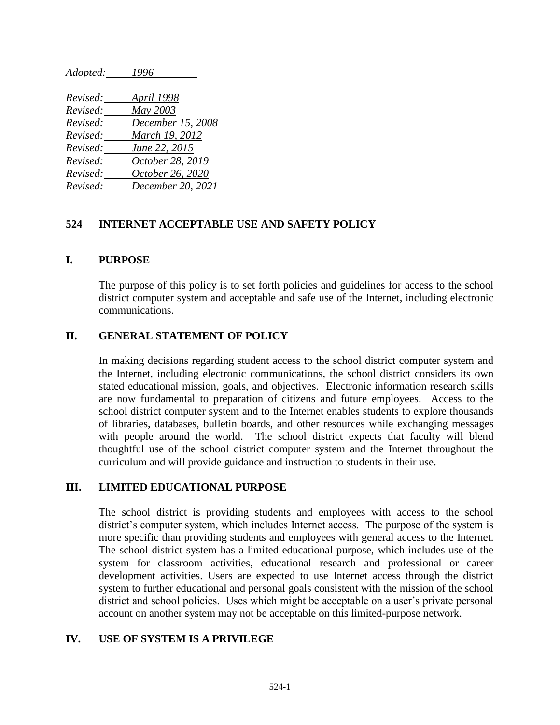| Adopted: | 1996              |
|----------|-------------------|
|          |                   |
| Revised: | April 1998        |
| Revised: | May 2003          |
| Revised: | December 15, 2008 |
| Revised: | March 19, 2012    |
| Revised: | June 22, 2015     |
| Revised: | October 28, 2019  |
| Revised: | October 26, 2020  |
| Revised: | December 20, 2021 |

#### **524 INTERNET ACCEPTABLE USE AND SAFETY POLICY**

#### **I. PURPOSE**

The purpose of this policy is to set forth policies and guidelines for access to the school district computer system and acceptable and safe use of the Internet, including electronic communications.

#### **II. GENERAL STATEMENT OF POLICY**

In making decisions regarding student access to the school district computer system and the Internet, including electronic communications, the school district considers its own stated educational mission, goals, and objectives. Electronic information research skills are now fundamental to preparation of citizens and future employees. Access to the school district computer system and to the Internet enables students to explore thousands of libraries, databases, bulletin boards, and other resources while exchanging messages with people around the world. The school district expects that faculty will blend thoughtful use of the school district computer system and the Internet throughout the curriculum and will provide guidance and instruction to students in their use.

#### **III. LIMITED EDUCATIONAL PURPOSE**

The school district is providing students and employees with access to the school district's computer system, which includes Internet access. The purpose of the system is more specific than providing students and employees with general access to the Internet. The school district system has a limited educational purpose, which includes use of the system for classroom activities, educational research and professional or career development activities. Users are expected to use Internet access through the district system to further educational and personal goals consistent with the mission of the school district and school policies. Uses which might be acceptable on a user's private personal account on another system may not be acceptable on this limited-purpose network.

#### **IV. USE OF SYSTEM IS A PRIVILEGE**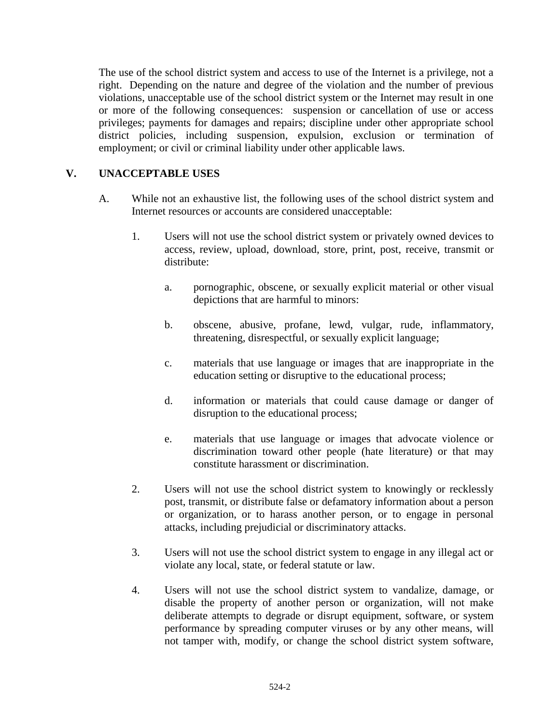The use of the school district system and access to use of the Internet is a privilege, not a right. Depending on the nature and degree of the violation and the number of previous violations, unacceptable use of the school district system or the Internet may result in one or more of the following consequences: suspension or cancellation of use or access privileges; payments for damages and repairs; discipline under other appropriate school district policies, including suspension, expulsion, exclusion or termination of employment; or civil or criminal liability under other applicable laws.

# **V. UNACCEPTABLE USES**

- A. While not an exhaustive list, the following uses of the school district system and Internet resources or accounts are considered unacceptable:
	- 1. Users will not use the school district system or privately owned devices to access, review, upload, download, store, print, post, receive, transmit or distribute:
		- a. pornographic, obscene, or sexually explicit material or other visual depictions that are harmful to minors:
		- b. obscene, abusive, profane, lewd, vulgar, rude, inflammatory, threatening, disrespectful, or sexually explicit language;
		- c. materials that use language or images that are inappropriate in the education setting or disruptive to the educational process;
		- d. information or materials that could cause damage or danger of disruption to the educational process;
		- e. materials that use language or images that advocate violence or discrimination toward other people (hate literature) or that may constitute harassment or discrimination.
	- 2. Users will not use the school district system to knowingly or recklessly post, transmit, or distribute false or defamatory information about a person or organization, or to harass another person, or to engage in personal attacks, including prejudicial or discriminatory attacks.
	- 3. Users will not use the school district system to engage in any illegal act or violate any local, state, or federal statute or law.
	- 4. Users will not use the school district system to vandalize, damage, or disable the property of another person or organization, will not make deliberate attempts to degrade or disrupt equipment, software, or system performance by spreading computer viruses or by any other means, will not tamper with, modify, or change the school district system software,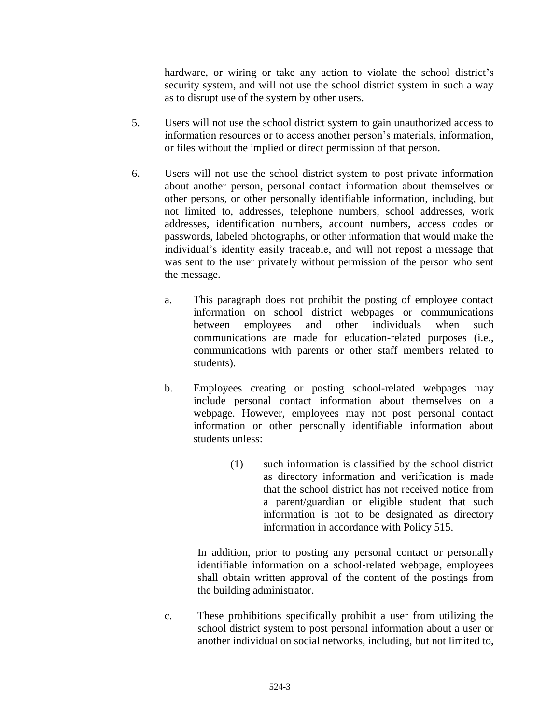hardware, or wiring or take any action to violate the school district's security system, and will not use the school district system in such a way as to disrupt use of the system by other users.

- 5. Users will not use the school district system to gain unauthorized access to information resources or to access another person's materials, information, or files without the implied or direct permission of that person.
- 6. Users will not use the school district system to post private information about another person, personal contact information about themselves or other persons, or other personally identifiable information, including, but not limited to, addresses, telephone numbers, school addresses, work addresses, identification numbers, account numbers, access codes or passwords, labeled photographs, or other information that would make the individual's identity easily traceable, and will not repost a message that was sent to the user privately without permission of the person who sent the message.
	- a. This paragraph does not prohibit the posting of employee contact information on school district webpages or communications between employees and other individuals when such communications are made for education-related purposes (i.e., communications with parents or other staff members related to students).
	- b. Employees creating or posting school-related webpages may include personal contact information about themselves on a webpage. However, employees may not post personal contact information or other personally identifiable information about students unless:
		- (1) such information is classified by the school district as directory information and verification is made that the school district has not received notice from a parent/guardian or eligible student that such information is not to be designated as directory information in accordance with Policy 515.

In addition, prior to posting any personal contact or personally identifiable information on a school-related webpage, employees shall obtain written approval of the content of the postings from the building administrator.

c. These prohibitions specifically prohibit a user from utilizing the school district system to post personal information about a user or another individual on social networks, including, but not limited to,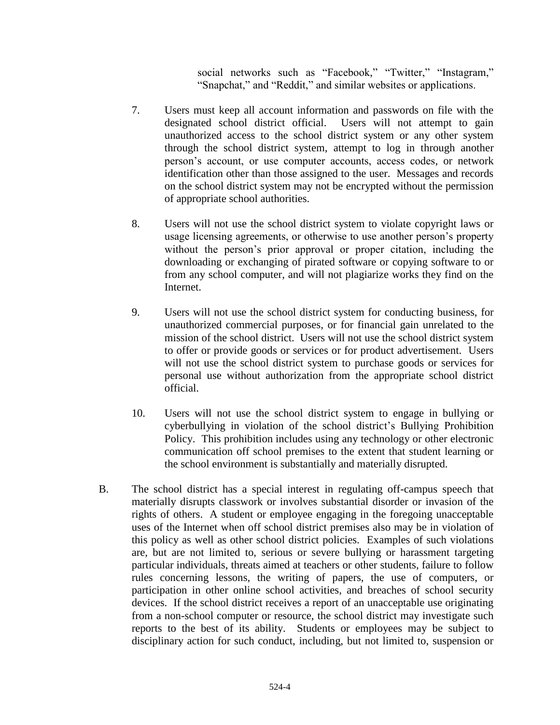social networks such as "Facebook," "Twitter," "Instagram," "Snapchat," and "Reddit," and similar websites or applications.

- 7. Users must keep all account information and passwords on file with the designated school district official. Users will not attempt to gain unauthorized access to the school district system or any other system through the school district system, attempt to log in through another person's account, or use computer accounts, access codes, or network identification other than those assigned to the user. Messages and records on the school district system may not be encrypted without the permission of appropriate school authorities.
- 8. Users will not use the school district system to violate copyright laws or usage licensing agreements, or otherwise to use another person's property without the person's prior approval or proper citation, including the downloading or exchanging of pirated software or copying software to or from any school computer, and will not plagiarize works they find on the Internet.
- 9. Users will not use the school district system for conducting business, for unauthorized commercial purposes, or for financial gain unrelated to the mission of the school district. Users will not use the school district system to offer or provide goods or services or for product advertisement. Users will not use the school district system to purchase goods or services for personal use without authorization from the appropriate school district official.
- 10. Users will not use the school district system to engage in bullying or cyberbullying in violation of the school district's Bullying Prohibition Policy. This prohibition includes using any technology or other electronic communication off school premises to the extent that student learning or the school environment is substantially and materially disrupted.
- B. The school district has a special interest in regulating off-campus speech that materially disrupts classwork or involves substantial disorder or invasion of the rights of others. A student or employee engaging in the foregoing unacceptable uses of the Internet when off school district premises also may be in violation of this policy as well as other school district policies. Examples of such violations are, but are not limited to, serious or severe bullying or harassment targeting particular individuals, threats aimed at teachers or other students, failure to follow rules concerning lessons, the writing of papers, the use of computers, or participation in other online school activities, and breaches of school security devices. If the school district receives a report of an unacceptable use originating from a non-school computer or resource, the school district may investigate such reports to the best of its ability. Students or employees may be subject to disciplinary action for such conduct, including, but not limited to, suspension or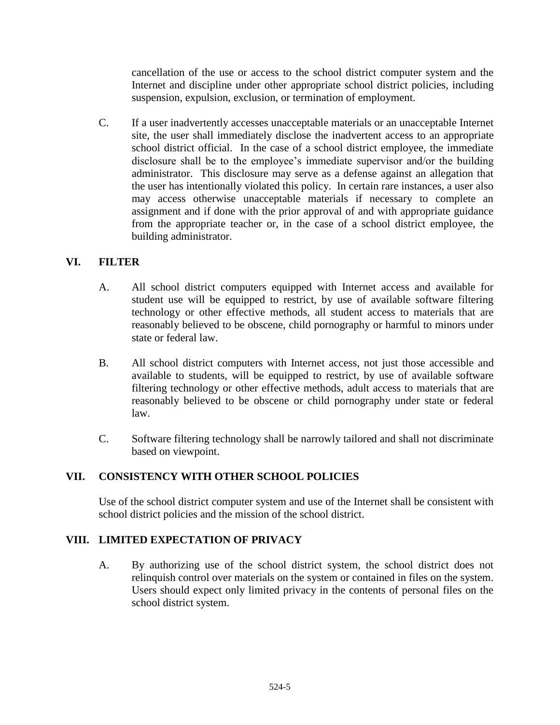cancellation of the use or access to the school district computer system and the Internet and discipline under other appropriate school district policies, including suspension, expulsion, exclusion, or termination of employment.

C. If a user inadvertently accesses unacceptable materials or an unacceptable Internet site, the user shall immediately disclose the inadvertent access to an appropriate school district official. In the case of a school district employee, the immediate disclosure shall be to the employee's immediate supervisor and/or the building administrator. This disclosure may serve as a defense against an allegation that the user has intentionally violated this policy. In certain rare instances, a user also may access otherwise unacceptable materials if necessary to complete an assignment and if done with the prior approval of and with appropriate guidance from the appropriate teacher or, in the case of a school district employee, the building administrator.

# **VI. FILTER**

- A. All school district computers equipped with Internet access and available for student use will be equipped to restrict, by use of available software filtering technology or other effective methods, all student access to materials that are reasonably believed to be obscene, child pornography or harmful to minors under state or federal law.
- B. All school district computers with Internet access, not just those accessible and available to students, will be equipped to restrict, by use of available software filtering technology or other effective methods, adult access to materials that are reasonably believed to be obscene or child pornography under state or federal law.
- C. Software filtering technology shall be narrowly tailored and shall not discriminate based on viewpoint.

### **VII. CONSISTENCY WITH OTHER SCHOOL POLICIES**

Use of the school district computer system and use of the Internet shall be consistent with school district policies and the mission of the school district.

### **VIII. LIMITED EXPECTATION OF PRIVACY**

A. By authorizing use of the school district system, the school district does not relinquish control over materials on the system or contained in files on the system. Users should expect only limited privacy in the contents of personal files on the school district system.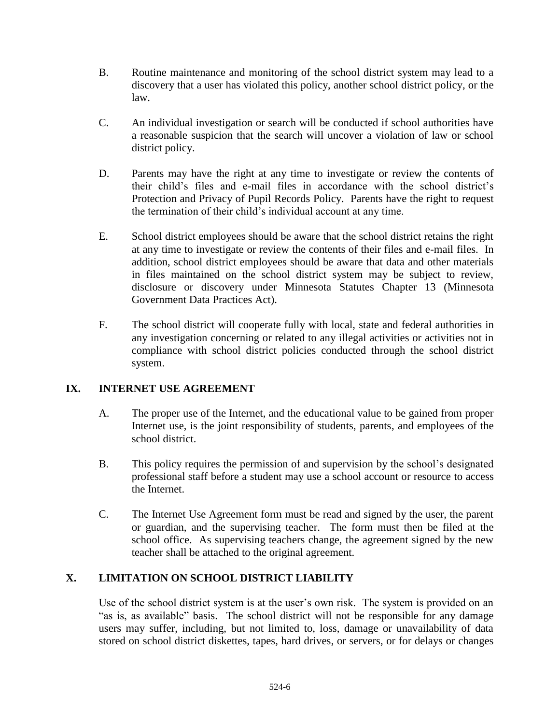- B. Routine maintenance and monitoring of the school district system may lead to a discovery that a user has violated this policy, another school district policy, or the law.
- C. An individual investigation or search will be conducted if school authorities have a reasonable suspicion that the search will uncover a violation of law or school district policy.
- D. Parents may have the right at any time to investigate or review the contents of their child's files and e-mail files in accordance with the school district's Protection and Privacy of Pupil Records Policy. Parents have the right to request the termination of their child's individual account at any time.
- E. School district employees should be aware that the school district retains the right at any time to investigate or review the contents of their files and e-mail files. In addition, school district employees should be aware that data and other materials in files maintained on the school district system may be subject to review, disclosure or discovery under Minnesota Statutes Chapter 13 (Minnesota Government Data Practices Act).
- F. The school district will cooperate fully with local, state and federal authorities in any investigation concerning or related to any illegal activities or activities not in compliance with school district policies conducted through the school district system.

# **IX. INTERNET USE AGREEMENT**

- A. The proper use of the Internet, and the educational value to be gained from proper Internet use, is the joint responsibility of students, parents, and employees of the school district.
- B. This policy requires the permission of and supervision by the school's designated professional staff before a student may use a school account or resource to access the Internet.
- C. The Internet Use Agreement form must be read and signed by the user, the parent or guardian, and the supervising teacher. The form must then be filed at the school office. As supervising teachers change, the agreement signed by the new teacher shall be attached to the original agreement.

### **X. LIMITATION ON SCHOOL DISTRICT LIABILITY**

Use of the school district system is at the user's own risk. The system is provided on an "as is, as available" basis. The school district will not be responsible for any damage users may suffer, including, but not limited to, loss, damage or unavailability of data stored on school district diskettes, tapes, hard drives, or servers, or for delays or changes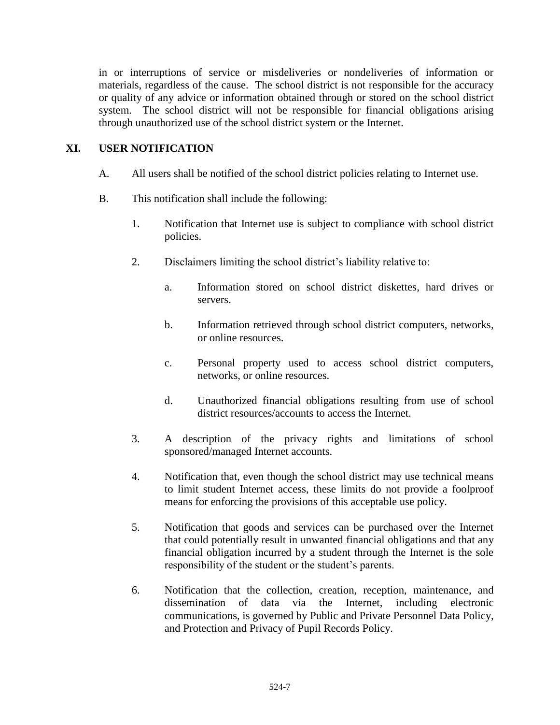in or interruptions of service or misdeliveries or nondeliveries of information or materials, regardless of the cause. The school district is not responsible for the accuracy or quality of any advice or information obtained through or stored on the school district system. The school district will not be responsible for financial obligations arising through unauthorized use of the school district system or the Internet.

### **XI. USER NOTIFICATION**

- A. All users shall be notified of the school district policies relating to Internet use.
- B. This notification shall include the following:
	- 1. Notification that Internet use is subject to compliance with school district policies.
	- 2. Disclaimers limiting the school district's liability relative to:
		- a. Information stored on school district diskettes, hard drives or servers.
		- b. Information retrieved through school district computers, networks, or online resources.
		- c. Personal property used to access school district computers, networks, or online resources.
		- d. Unauthorized financial obligations resulting from use of school district resources/accounts to access the Internet.
	- 3. A description of the privacy rights and limitations of school sponsored/managed Internet accounts.
	- 4. Notification that, even though the school district may use technical means to limit student Internet access, these limits do not provide a foolproof means for enforcing the provisions of this acceptable use policy.
	- 5. Notification that goods and services can be purchased over the Internet that could potentially result in unwanted financial obligations and that any financial obligation incurred by a student through the Internet is the sole responsibility of the student or the student's parents.
	- 6. Notification that the collection, creation, reception, maintenance, and dissemination of data via the Internet, including electronic communications, is governed by Public and Private Personnel Data Policy, and Protection and Privacy of Pupil Records Policy.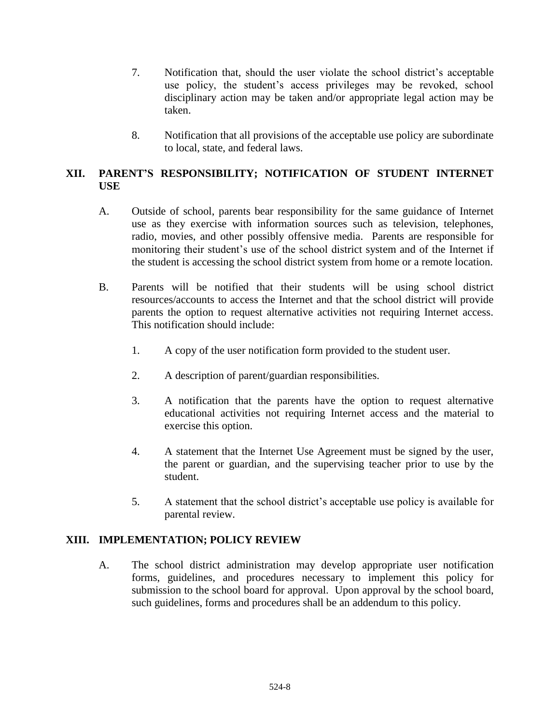- 7. Notification that, should the user violate the school district's acceptable use policy, the student's access privileges may be revoked, school disciplinary action may be taken and/or appropriate legal action may be taken.
- 8. Notification that all provisions of the acceptable use policy are subordinate to local, state, and federal laws.

# **XII. PARENT'S RESPONSIBILITY; NOTIFICATION OF STUDENT INTERNET USE**

- A. Outside of school, parents bear responsibility for the same guidance of Internet use as they exercise with information sources such as television, telephones, radio, movies, and other possibly offensive media. Parents are responsible for monitoring their student's use of the school district system and of the Internet if the student is accessing the school district system from home or a remote location.
- B. Parents will be notified that their students will be using school district resources/accounts to access the Internet and that the school district will provide parents the option to request alternative activities not requiring Internet access. This notification should include:
	- 1. A copy of the user notification form provided to the student user.
	- 2. A description of parent/guardian responsibilities.
	- 3. A notification that the parents have the option to request alternative educational activities not requiring Internet access and the material to exercise this option.
	- 4. A statement that the Internet Use Agreement must be signed by the user, the parent or guardian, and the supervising teacher prior to use by the student.
	- 5. A statement that the school district's acceptable use policy is available for parental review.

## **XIII. IMPLEMENTATION; POLICY REVIEW**

A. The school district administration may develop appropriate user notification forms, guidelines, and procedures necessary to implement this policy for submission to the school board for approval. Upon approval by the school board, such guidelines, forms and procedures shall be an addendum to this policy.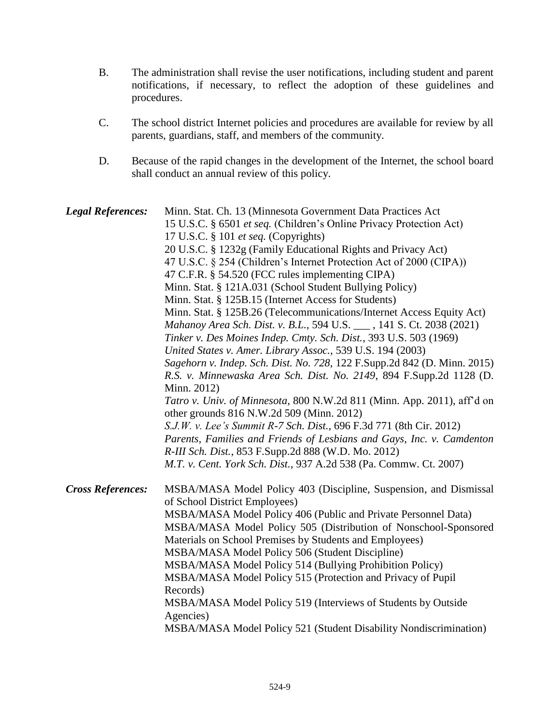- B. The administration shall revise the user notifications, including student and parent notifications, if necessary, to reflect the adoption of these guidelines and procedures.
- C. The school district Internet policies and procedures are available for review by all parents, guardians, staff, and members of the community.
- D. Because of the rapid changes in the development of the Internet, the school board shall conduct an annual review of this policy.

*Legal References:* Minn. Stat. Ch. 13 (Minnesota Government Data Practices Act 15 U.S.C. § 6501 *et seq.* (Children's Online Privacy Protection Act) 17 U.S.C. § 101 *et seq.* (Copyrights) 20 U.S.C. § 1232g (Family Educational Rights and Privacy Act) 47 U.S.C. § 254 (Children's Internet Protection Act of 2000 (CIPA)) 47 C.F.R. § 54.520 (FCC rules implementing CIPA) Minn. Stat. § 121A.031 (School Student Bullying Policy) Minn. Stat. § 125B.15 (Internet Access for Students) Minn. Stat. § 125B.26 (Telecommunications/Internet Access Equity Act) *Mahanoy Area Sch. Dist. v. B.L.,* 594 U.S. \_\_\_ , 141 S. Ct. 2038 (2021) *Tinker v. Des Moines Indep. Cmty. Sch. Dist.*, 393 U.S. 503 (1969) *United States v. Amer. Library Assoc.,* 539 U.S. 194 (2003) *Sagehorn v. Indep. Sch. Dist. No. 728*, 122 F.Supp.2d 842 (D. Minn. 2015) *R.S. v. Minnewaska Area Sch. Dist. No. 2149*, 894 F.Supp.2d 1128 (D. Minn. 2012) *Tatro v. Univ. of Minnesota*, 800 N.W.2d 811 (Minn. App. 2011), aff'd on other grounds 816 N.W.2d 509 (Minn. 2012) *S.J.W. v. Lee's Summit R-7 Sch. Dist.*, 696 F.3d 771 (8th Cir. 2012) *Parents, Families and Friends of Lesbians and Gays, Inc. v. Camdenton R-III Sch. Dist.*, 853 F.Supp.2d 888 (W.D. Mo. 2012) *M.T. v. Cent. York Sch. Dist.*, 937 A.2d 538 (Pa. Commw. Ct. 2007) *Cross References:* MSBA/MASA Model Policy 403 (Discipline, Suspension, and Dismissal of School District Employees) MSBA/MASA Model Policy 406 (Public and Private Personnel Data) MSBA/MASA Model Policy 505 (Distribution of Nonschool-Sponsored Materials on School Premises by Students and Employees) MSBA/MASA Model Policy 506 (Student Discipline) MSBA/MASA Model Policy 514 (Bullying Prohibition Policy) MSBA/MASA Model Policy 515 (Protection and Privacy of Pupil Records) MSBA/MASA Model Policy 519 (Interviews of Students by Outside Agencies) MSBA/MASA Model Policy 521 (Student Disability Nondiscrimination)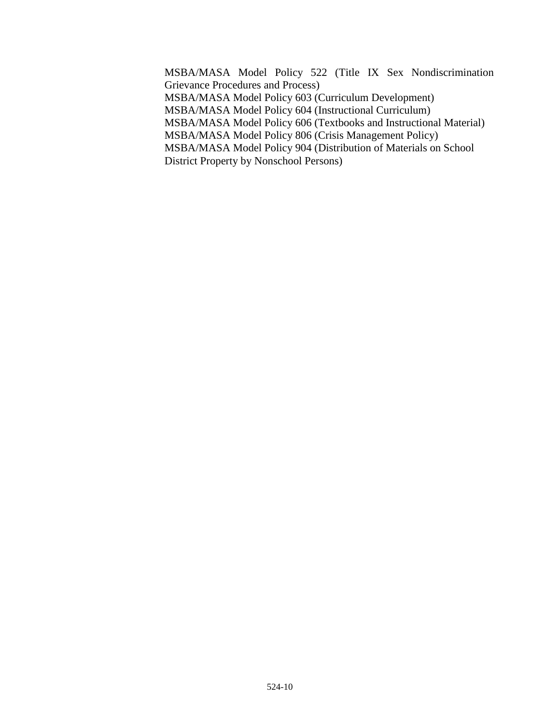MSBA/MASA Model Policy 522 (Title IX Sex Nondiscrimination Grievance Procedures and Process) MSBA/MASA Model Policy 603 (Curriculum Development) MSBA/MASA Model Policy 604 (Instructional Curriculum) MSBA/MASA Model Policy 606 (Textbooks and Instructional Material) MSBA/MASA Model Policy 806 (Crisis Management Policy) MSBA/MASA Model Policy 904 (Distribution of Materials on School District Property by Nonschool Persons)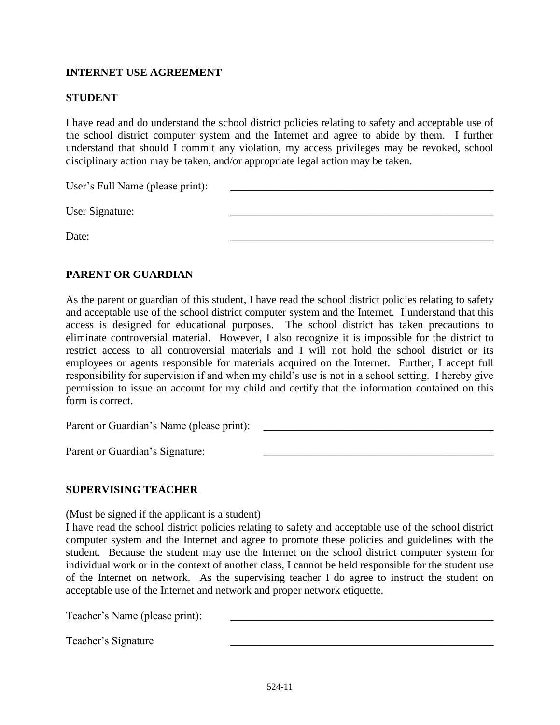### **INTERNET USE AGREEMENT**

#### **STUDENT**

I have read and do understand the school district policies relating to safety and acceptable use of the school district computer system and the Internet and agree to abide by them. I further understand that should I commit any violation, my access privileges may be revoked, school disciplinary action may be taken, and/or appropriate legal action may be taken.

User's Full Name (please print):

User Signature:

Date: 2008. 2008. 2008. 2008. 2008. 2008. 2008. 2008. 2008. 2009. 2008. 2009. 2009. 2009. 2009. 2009. 2009. 20

#### **PARENT OR GUARDIAN**

As the parent or guardian of this student, I have read the school district policies relating to safety and acceptable use of the school district computer system and the Internet. I understand that this access is designed for educational purposes. The school district has taken precautions to eliminate controversial material. However, I also recognize it is impossible for the district to restrict access to all controversial materials and I will not hold the school district or its employees or agents responsible for materials acquired on the Internet. Further, I accept full responsibility for supervision if and when my child's use is not in a school setting. I hereby give permission to issue an account for my child and certify that the information contained on this form is correct.

Parent or Guardian's Name (please print):

Parent or Guardian's Signature:

#### **SUPERVISING TEACHER**

(Must be signed if the applicant is a student)

I have read the school district policies relating to safety and acceptable use of the school district computer system and the Internet and agree to promote these policies and guidelines with the student. Because the student may use the Internet on the school district computer system for individual work or in the context of another class, I cannot be held responsible for the student use of the Internet on network. As the supervising teacher I do agree to instruct the student on acceptable use of the Internet and network and proper network etiquette.

Teacher's Name (please print):

Teacher's Signature \_\_\_\_\_\_\_\_\_\_\_\_\_\_\_\_\_\_\_\_\_\_\_\_\_\_\_\_\_\_\_\_\_\_\_\_\_\_\_\_\_\_\_\_\_\_\_\_